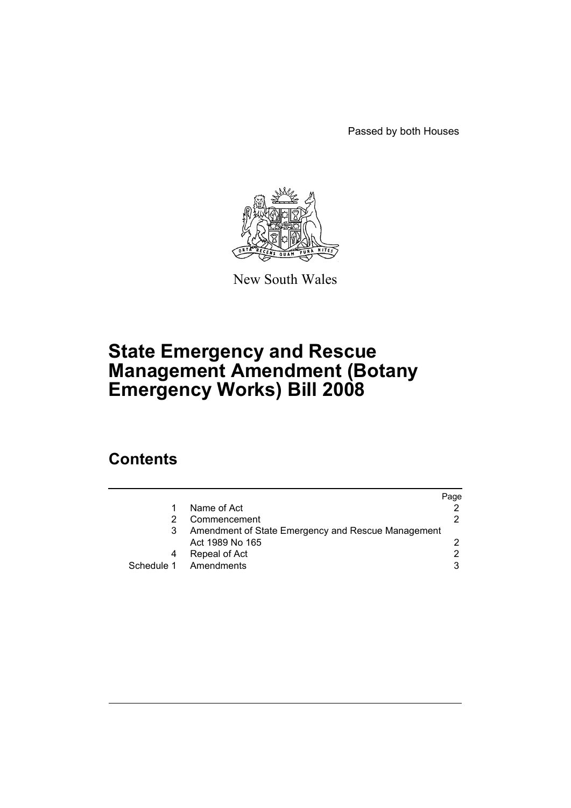Passed by both Houses



New South Wales

# **State Emergency and Rescue Management Amendment (Botany Emergency Works) Bill 2008**

## **Contents**

|                                                    | Page |
|----------------------------------------------------|------|
| Name of Act                                        |      |
| Commencement                                       |      |
| Amendment of State Emergency and Rescue Management |      |
| Act 1989 No 165                                    |      |
| Repeal of Act                                      |      |
| Schedule 1 Amendments                              | 3    |
|                                                    |      |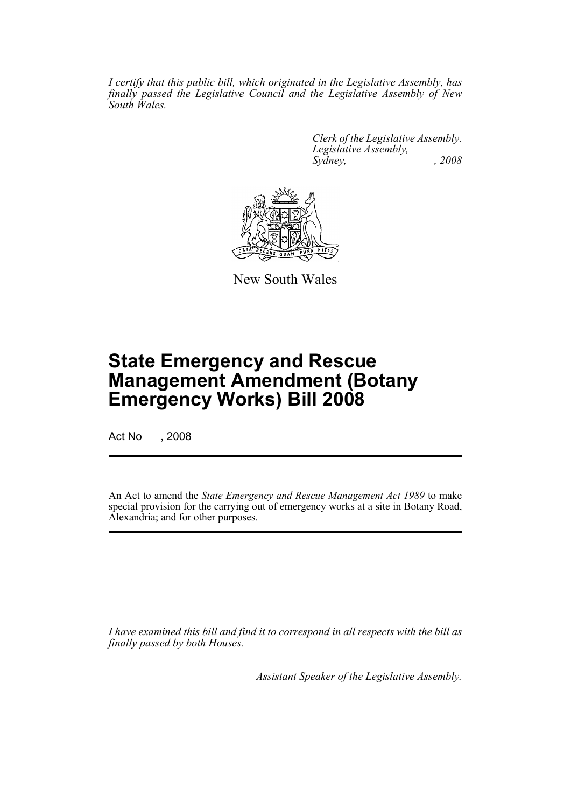*I certify that this public bill, which originated in the Legislative Assembly, has finally passed the Legislative Council and the Legislative Assembly of New South Wales.*

> *Clerk of the Legislative Assembly. Legislative Assembly, Sydney, , 2008*



New South Wales

# **State Emergency and Rescue Management Amendment (Botany Emergency Works) Bill 2008**

Act No , 2008

An Act to amend the *State Emergency and Rescue Management Act 1989* to make special provision for the carrying out of emergency works at a site in Botany Road, Alexandria; and for other purposes.

*I have examined this bill and find it to correspond in all respects with the bill as finally passed by both Houses.*

*Assistant Speaker of the Legislative Assembly.*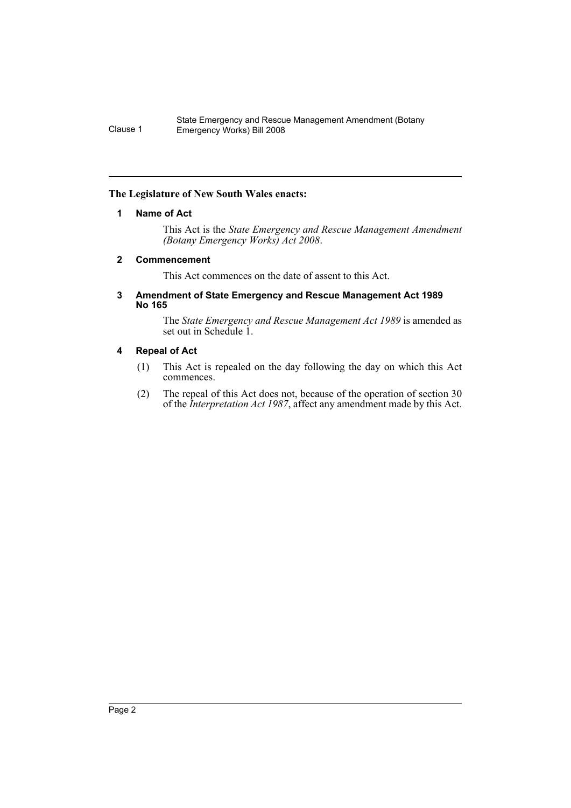### <span id="page-2-0"></span>**The Legislature of New South Wales enacts:**

### **1 Name of Act**

This Act is the *State Emergency and Rescue Management Amendment (Botany Emergency Works) Act 2008*.

### <span id="page-2-1"></span>**2 Commencement**

This Act commences on the date of assent to this Act.

### <span id="page-2-2"></span>**3 Amendment of State Emergency and Rescue Management Act 1989 No 165**

The *State Emergency and Rescue Management Act 1989* is amended as set out in Schedule 1.

### <span id="page-2-3"></span>**4 Repeal of Act**

- (1) This Act is repealed on the day following the day on which this Act commences.
- (2) The repeal of this Act does not, because of the operation of section 30 of the *Interpretation Act 1987*, affect any amendment made by this Act.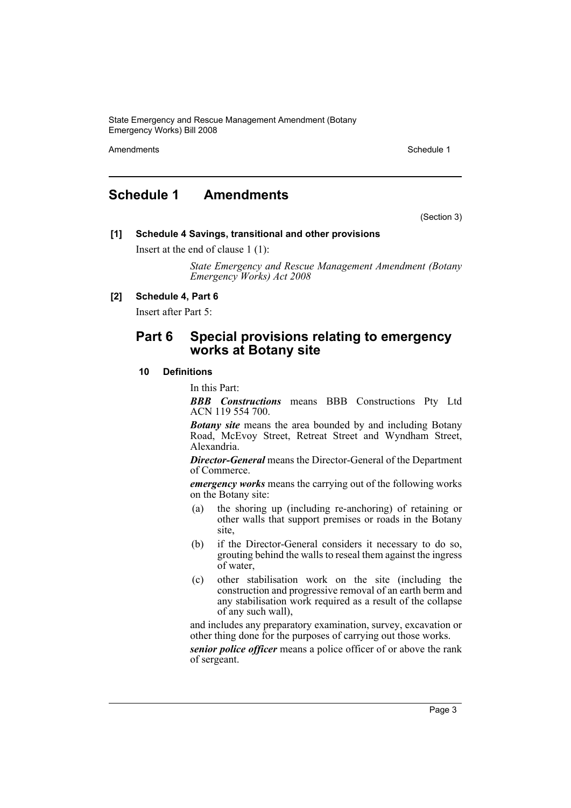State Emergency and Rescue Management Amendment (Botany Emergency Works) Bill 2008

Amendments **Schedule 1** and the set of the set of the set of the set of the set of the set of the set of the set of the set of the set of the set of the set of the set of the set of the set of the set of the set of the set

### <span id="page-3-0"></span>**Schedule 1 Amendments**

(Section 3)

### **[1] Schedule 4 Savings, transitional and other provisions**

Insert at the end of clause 1 (1):

*State Emergency and Rescue Management Amendment (Botany Emergency Works) Act 2008*

### **[2] Schedule 4, Part 6**

Insert after Part 5:

### **Part 6 Special provisions relating to emergency works at Botany site**

### **10 Definitions**

In this Part:

*BBB Constructions* means BBB Constructions Pty Ltd ACN 119 554 700.

*Botany site* means the area bounded by and including Botany Road, McEvoy Street, Retreat Street and Wyndham Street, Alexandria.

*Director-General* means the Director-General of the Department of Commerce.

*emergency works* means the carrying out of the following works on the Botany site:

- (a) the shoring up (including re-anchoring) of retaining or other walls that support premises or roads in the Botany site,
- (b) if the Director-General considers it necessary to do so, grouting behind the walls to reseal them against the ingress of water,
- (c) other stabilisation work on the site (including the construction and progressive removal of an earth berm and any stabilisation work required as a result of the collapse of any such wall),

and includes any preparatory examination, survey, excavation or other thing done for the purposes of carrying out those works.

*senior police officer* means a police officer of or above the rank of sergeant.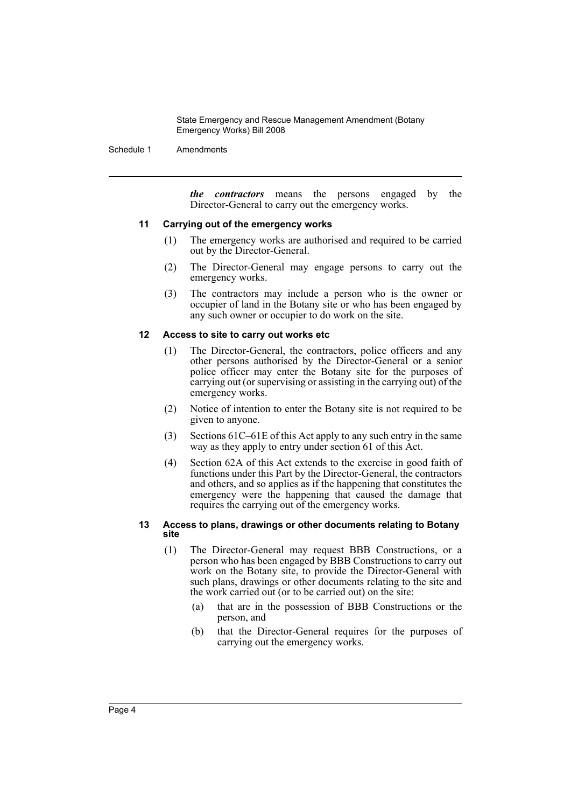State Emergency and Rescue Management Amendment (Botany Emergency Works) Bill 2008

Schedule 1 Amendments

*the contractors* means the persons engaged by the Director-General to carry out the emergency works.

### **11 Carrying out of the emergency works**

- (1) The emergency works are authorised and required to be carried out by the Director-General.
- (2) The Director-General may engage persons to carry out the emergency works.
- (3) The contractors may include a person who is the owner or occupier of land in the Botany site or who has been engaged by any such owner or occupier to do work on the site.

#### **12 Access to site to carry out works etc**

- (1) The Director-General, the contractors, police officers and any other persons authorised by the Director-General or a senior police officer may enter the Botany site for the purposes of carrying out (or supervising or assisting in the carrying out) of the emergency works.
- (2) Notice of intention to enter the Botany site is not required to be given to anyone.
- (3) Sections 61C–61E of this Act apply to any such entry in the same way as they apply to entry under section 61 of this Act.
- (4) Section 62A of this Act extends to the exercise in good faith of functions under this Part by the Director-General, the contractors and others, and so applies as if the happening that constitutes the emergency were the happening that caused the damage that requires the carrying out of the emergency works.

#### **13 Access to plans, drawings or other documents relating to Botany site**

- (1) The Director-General may request BBB Constructions, or a person who has been engaged by BBB Constructions to carry out work on the Botany site, to provide the Director-General with such plans, drawings or other documents relating to the site and the work carried out (or to be carried out) on the site:
	- (a) that are in the possession of BBB Constructions or the person, and
	- (b) that the Director-General requires for the purposes of carrying out the emergency works.